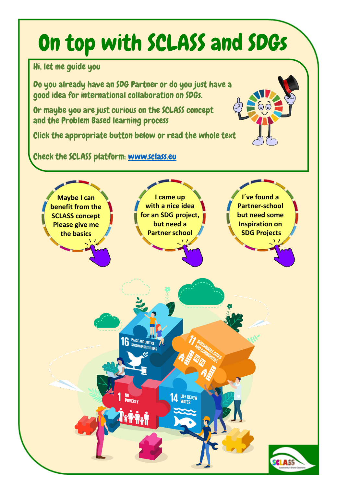## On top with SCLASS and SDGs

Hi, let me guide you

Do you already have an SDG Partner or do you just have a good idea for international collaboration on SDGs.

Or maybe you are just curious on the SCLASS concept and the Problem Based learning process

Click the appropriate button below or read the whole text

Check the SCLASS platform: [www.sclass.eu](http://www.sclass.eu/)

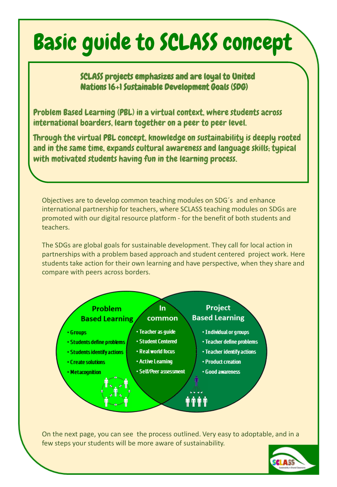### <span id="page-1-0"></span>Basic guide to SCLASS concept

### SCLASS projects emphasizes and are loyal to United Nations 16+1 Sustainable Development Goals (SDG)

Problem Based Learning (PBL) in a virtual context, where students across international boarders, learn together on a peer to peer level.

Through the virtual PBL concept, knowledge on sustainability is deeply rooted and in the same time, expands cultural awareness and language skills; typical with motivated students having fun in the learning process.

Objectives are to develop common teaching modules on SDG´s and enhance international partnership for teachers, where SCLASS teaching modules on SDGs are promoted with our digital resource platform - for the benefit of both students and teachers.

The SDGs are global goals for sustainable development. They call for local action in partnerships with a problem based approach and student centered project work. Here students take action for their own learning and have perspective, when they share and compare with peers across borders.



On the next page, you can see the process outlined. Very easy to adoptable, and in a few steps your students will be more aware of sustainability.

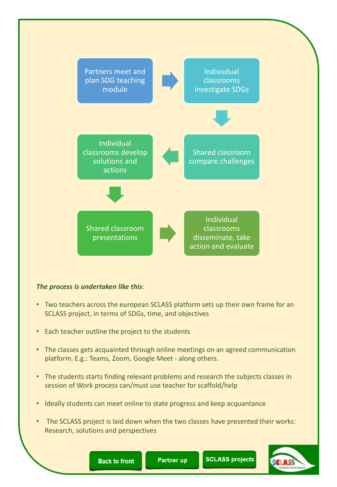

#### *The process is undertaken like this*:

- Two teachers across the european SCLASS platform sets up their own frame for an SCLASS project, in terms of SDGs, time, and objectives
- Each teacher outline the project to the students
- The classes gets acquainted through online meetings on an agreed communication platform. E.g.: Teams, Zoom, Google Meet - along others.
- The students starts finding relevant problems and research the subjects classes in session of Work process can/must use teacher for scaffold/help
- Ideally students can meet online to state progress and keep acquantance
- The SCLASS project is laid down when the two classes have presented their works: Research, solutions and perspectives



**SCLASS projects** 

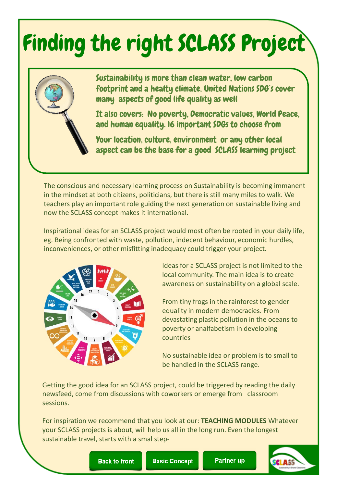# <span id="page-3-0"></span>Finding the right SCLASS Project



Sustainability is more than clean water, low carbon footprint and a healty climate. United Nations SDG´s cover many aspects of good life quality as well

It also covers: No poverty, Democratic values, World Peace, and human equality. 16 important SDGs to choose from

Your location, culture, environment or any other local aspect can be the base for a good SCLASS learning project

The conscious and necessary learning process on Sustainability is becoming immanent in the mindset at both citizens, politicians, but there is still many miles to walk. We teachers play an important role guiding the next generation on sustainable living and now the SCLASS concept makes it international.

Inspirational ideas for an SCLASS project would most often be rooted in your daily life, eg. Being confronted with waste, pollution, indecent behaviour, economic hurdles, inconveniences, or other misfitting inadequacy could trigger your project.



Ideas for a SCLASS project is not limited to the local community. The main idea is to create awareness on sustainability on a global scale.

From tiny frogs in the rainforest to gender equality in modern democracies. From devastating plastic pollution in the oceans to poverty or analfabetism in developing countries

No sustainable idea or problem is to small to be handled in the SCLASS range.

Getting the good idea for an SCLASS project, could be triggered by reading the daily newsfeed, come from discussions with coworkers or emerge from classroom sessions.

For inspiration we recommend that you look at our: **TEACHING MODULES** Whatever your SCLASS projects is about, will help us all in the long run. Even the longest sustainable travel, starts with a smal step-



**Basic Concept**